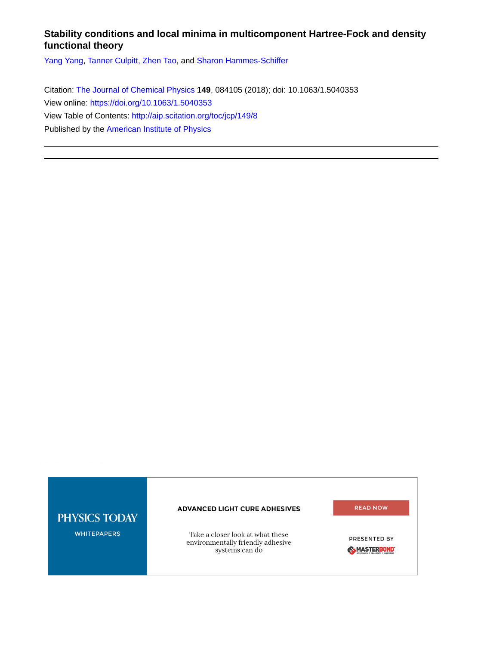# **Stability conditions and local minima in multicomponent Hartree-Fock and density functional theory**

[Yang Yang](http://aip.scitation.org/author/Yang%2C+Yang), [Tanner Culpitt](http://aip.scitation.org/author/Culpitt%2C+Tanner), [Zhen Tao,](http://aip.scitation.org/author/Tao%2C+Zhen) and [Sharon Hammes-Schiffer](http://aip.scitation.org/author/Hammes-Schiffer%2C+Sharon)

Citation: [The Journal of Chemical Physics](/loi/jcp) **149**, 084105 (2018); doi: 10.1063/1.5040353 View online: <https://doi.org/10.1063/1.5040353> View Table of Contents: <http://aip.scitation.org/toc/jcp/149/8> Published by the [American Institute of Physics](http://aip.scitation.org/publisher/)

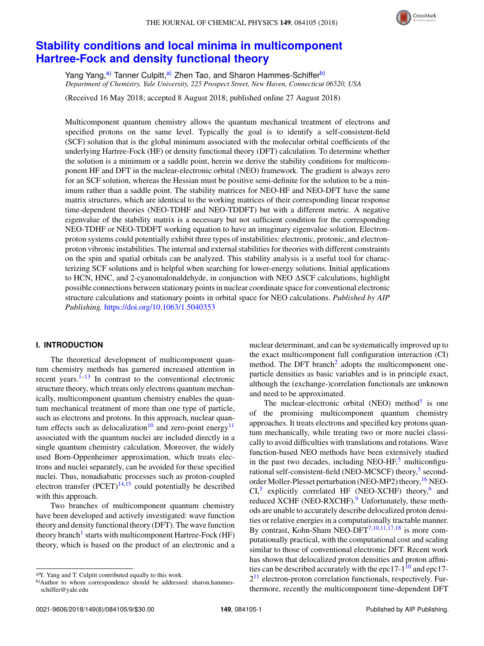

# **[Stability conditions and local minima in multicomponent](https://doi.org/10.1063/1.5040353) [Hartree-Fock and density functional theory](https://doi.org/10.1063/1.5040353)**

Yang Yang,<sup>[a\)](#page-1-0)</sup> Tanner Culpitt,<sup>a)</sup> Zhen Tao, and Sharon Hammes-Schiffer<sup>[b\)](#page-1-1)</sup> *Department of Chemistry, Yale University, 225 Prospect Street, New Haven, Connecticut 06520, USA*

(Received 16 May 2018; accepted 8 August 2018; published online 27 August 2018)

Multicomponent quantum chemistry allows the quantum mechanical treatment of electrons and specified protons on the same level. Typically the goal is to identify a self-consistent-field (SCF) solution that is the global minimum associated with the molecular orbital coefficients of the underlying Hartree-Fock (HF) or density functional theory (DFT) calculation. To determine whether the solution is a minimum or a saddle point, herein we derive the stability conditions for multicomponent HF and DFT in the nuclear-electronic orbital (NEO) framework. The gradient is always zero for an SCF solution, whereas the Hessian must be positive semi-definite for the solution to be a minimum rather than a saddle point. The stability matrices for NEO-HF and NEO-DFT have the same matrix structures, which are identical to the working matrices of their corresponding linear response time-dependent theories (NEO-TDHF and NEO-TDDFT) but with a different metric. A negative eigenvalue of the stability matrix is a necessary but not sufficient condition for the corresponding NEO-TDHF or NEO-TDDFT working equation to have an imaginary eigenvalue solution. Electronproton systems could potentially exhibit three types of instabilities: electronic, protonic, and electronproton vibronic instabilities. The internal and external stabilities for theories with different constraints on the spin and spatial orbitals can be analyzed. This stability analysis is a useful tool for characterizing SCF solutions and is helpful when searching for lower-energy solutions. Initial applications to HCN, HNC, and 2-cyanomalonaldehyde, in conjunction with NEO ∆SCF calculations, highlight possible connections between stationary points in nuclear coordinate space for conventional electronic structure calculations and stationary points in orbital space for NEO calculations. *Published by AIP Publishing.* <https://doi.org/10.1063/1.5040353>

# **I. INTRODUCTION**

The theoretical development of multicomponent quantum chemistry methods has garnered increased attention in recent years. $1-13$  $1-13$  In contrast to the conventional electronic structure theory, which treats only electrons quantum mechanically, multicomponent quantum chemistry enables the quantum mechanical treatment of more than one type of particle, such as electrons and protons. In this approach, nuclear quan-tum effects such as delocalization<sup>[10](#page-9-2)</sup> and zero-point energy<sup>[11](#page-9-3)</sup> associated with the quantum nuclei are included directly in a single quantum chemistry calculation. Moreover, the widely used Born-Oppenheimer approximation, which treats electrons and nuclei separately, can be avoided for these specified nuclei. Thus, nonadiabatic processes such as proton-coupled electron transfer  $(PCET)^{14,15}$  $(PCET)^{14,15}$  $(PCET)^{14,15}$  $(PCET)^{14,15}$  could potentially be described with this approach.

Two branches of multicomponent quantum chemistry have been developed and actively investigated: wave function theory and density functional theory (DFT). The wave function theory branch<sup>[1](#page-9-0)</sup> starts with multicomponent Hartree-Fock (HF) theory, which is based on the product of an electronic and a nuclear determinant, and can be systematically improved up to the exact multicomponent full configuration interaction (CI) method. The DFT branch<sup>[2](#page-9-6)</sup> adopts the multicomponent oneparticle densities as basic variables and is in principle exact, although the (exchange-)correlation functionals are unknown and need to be approximated.

The nuclear-electronic orbital (NEO) method<sup>[5](#page-9-7)</sup> is one of the promising multicomponent quantum chemistry approaches. It treats electrons and specified key protons quantum mechanically, while treating two or more nuclei classically to avoid difficulties with translations and rotations. Wave function-based NEO methods have been extensively studied in the past two decades, including NEO-HF, $<sup>5</sup>$  $<sup>5</sup>$  $<sup>5</sup>$  multiconfigu-</sup> rational self-consistent-field (NEO-MCSCF) theory,<sup>[5](#page-9-7)</sup> second-order Moller-Plesset perturbation (NEO-MP2) theory, <sup>[16](#page-9-8)</sup> NEO- $CI<sub>5</sub><sup>5</sup>$  $CI<sub>5</sub><sup>5</sup>$  $CI<sub>5</sub><sup>5</sup>$  explicitly correlated HF (NEO-XCHF) theory,<sup>[6](#page-9-9)</sup> and reduced XCHF (NEO-RXCHF).<sup>[9](#page-9-10)</sup> Unfortunately, these methods are unable to accurately describe delocalized proton densities or relative energies in a computationally tractable manner. By contrast, Kohn-Sham NEO-DFT<sup>[7,](#page-9-11)[10,](#page-9-2)[11,](#page-9-3)[17](#page-9-12)[,18](#page-9-13)</sup> is more computationally practical, with the computational cost and scaling similar to those of conventional electronic DFT. Recent work has shown that delocalized proton densities and proton affinities can be described accurately with the epc17- $1^{10}$  $1^{10}$  $1^{10}$  and epc17-2<sup>[11](#page-9-3)</sup> electron-proton correlation functionals, respectively. Furthermore, recently the multicomponent time-dependent DFT

<span id="page-1-0"></span>a)Y. Yang and T. Culpitt contributed equally to this work.

<span id="page-1-1"></span>b)Author to whom correspondence should be addressed: [sharon.hammes](mailto:sharon.hammes-schiffer@yale.edu)[schiffer@yale.edu](mailto:sharon.hammes-schiffer@yale.edu)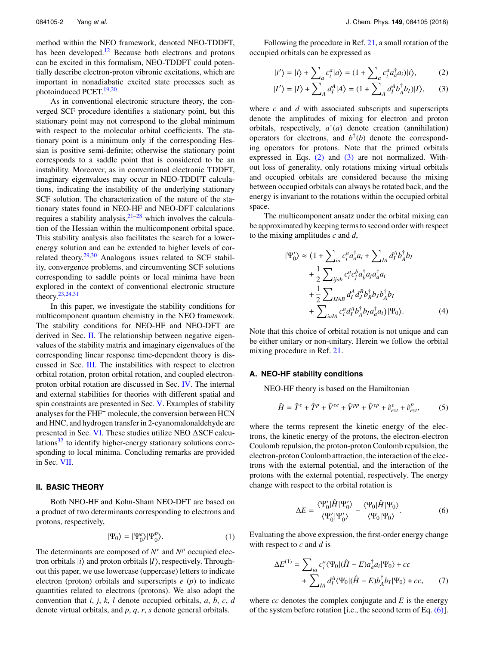method within the NEO framework, denoted NEO-TDDFT, has been developed.<sup>[12](#page-9-14)</sup> Because both electrons and protons can be excited in this formalism, NEO-TDDFT could potentially describe electron-proton vibronic excitations, which are important in nonadiabatic excited state processes such as photoinduced PCET.[19](#page-9-15)[,20](#page-9-16)

As in conventional electronic structure theory, the converged SCF procedure identifies a stationary point, but this stationary point may not correspond to the global minimum with respect to the molecular orbital coefficients. The stationary point is a minimum only if the corresponding Hessian is positive semi-definite; otherwise the stationary point corresponds to a saddle point that is considered to be an instability. Moreover, as in conventional electronic TDDFT, imaginary eigenvalues may occur in NEO-TDDFT calculations, indicating the instability of the underlying stationary SCF solution. The characterization of the nature of the stationary states found in NEO-HF and NEO-DFT calculations requires a stability analysis,  $21-28$  $21-28$  which involves the calculation of the Hessian within the multicomponent orbital space. This stability analysis also facilitates the search for a lowerenergy solution and can be extended to higher levels of cor-related theory.<sup>[29,](#page-9-19)[30](#page-9-20)</sup> Analogous issues related to SCF stability, convergence problems, and circumventing SCF solutions corresponding to saddle points or local minima have been explored in the context of conventional electronic structure theory.[23](#page-9-21)[,24,](#page-9-22)[31](#page-9-23)

In this paper, we investigate the stability conditions for multicomponent quantum chemistry in the NEO framework. The stability conditions for NEO-HF and NEO-DFT are derived in Sec. [II.](#page-2-0) The relationship between negative eigenvalues of the stability matrix and imaginary eigenvalues of the corresponding linear response time-dependent theory is discussed in Sec. [III.](#page-4-0) The instabilities with respect to electron orbital rotation, proton orbital rotation, and coupled electronproton orbital rotation are discussed in Sec. [IV.](#page-4-1) The internal and external stabilities for theories with different spatial and spin constraints are presented in Sec. [V.](#page-5-0) Examples of stability analyses for the FHF<sup>−</sup> molecule, the conversion between HCN and HNC, and hydrogen transfer in 2-cyanomalonaldehyde are presented in Sec. [VI.](#page-7-0) These studies utilize NEO ∆SCF calculations $32$  to identify higher-energy stationary solutions corresponding to local minima. Concluding remarks are provided in Sec. [VII.](#page-8-0)

## <span id="page-2-0"></span>**II. BASIC THEORY**

Both NEO-HF and Kohn-Sham NEO-DFT are based on a product of two determinants corresponding to electrons and protons, respectively,

$$
|\Psi_0\rangle = |\Psi_0^e\rangle |\Psi_0^p\rangle. \tag{1}
$$

The determinants are composed of  $N^e$  and  $N^p$  occupied electron orbitals  $|i\rangle$  and proton orbitals  $|I\rangle$ , respectively. Throughout this paper, we use lowercase (uppercase) letters to indicate electron (proton) orbitals and superscripts *e* (*p*) to indicate quantities related to electrons (protons). We also adopt the convention that *i*, *j*, *k*, *l* denote occupied orbitals, *a*, *b*, *c*, *d* denote virtual orbitals, and *p*, *q*, *r*, *s* denote general orbitals.

Following the procedure in Ref. [21,](#page-9-17) a small rotation of the occupied orbitals can be expressed as

<span id="page-2-2"></span><span id="page-2-1"></span>
$$
|i'\rangle = |i\rangle + \sum_{a} c_i^a |a\rangle = (1 + \sum_{a} c_i^a a_a^{\dagger} a_i)|i\rangle, \tag{2}
$$

$$
|I'\rangle = |I\rangle + \sum_{A} d_{I}^{A} |A\rangle = (1 + \sum_{A} d_{I}^{A} b_{A}^{\dagger} b_{I}) |I\rangle, \qquad (3)
$$

where *c* and *d* with associated subscripts and superscripts denote the amplitudes of mixing for electron and proton orbitals, respectively,  $a^{\dagger}(a)$  denote creation (annihilation) operators for electrons, and  $b^{\dagger}(b)$  denote the corresponding operators for protons. Note that the primed orbitals expressed in Eqs. [\(2\)](#page-2-1) and [\(3\)](#page-2-2) are not normalized. Without loss of generality, only rotations mixing virtual orbitals and occupied orbitals are considered because the mixing between occupied orbitals can always be rotated back, and the energy is invariant to the rotations within the occupied orbital space.

The multicomponent ansatz under the orbital mixing can be approximated by keeping terms to second order with respect to the mixing amplitudes *c* and *d*,

$$
|\Psi'_{0}\rangle \approx (1 + \sum_{ia} c_{i}^{a} a_{a}^{\dagger} a_{i} + \sum_{IA} d_{I}^{A} b_{A}^{\dagger} b_{I} + \frac{1}{2} \sum_{ijab} c_{i}^{a} c_{j}^{b} a_{b}^{\dagger} a_{j} a_{a}^{\dagger} a_{i} + \frac{1}{2} \sum_{IJAB} d_{I}^{A} d_{J}^{B} b_{B}^{\dagger} b_{J} b_{A}^{\dagger} b_{I} + \sum_{ialA} c_{i}^{a} d_{I}^{A} b_{A}^{\dagger} b_{I} a_{a}^{\dagger} a_{i}) |\Psi_{0}\rangle.
$$
 (4)

Note that this choice of orbital rotation is not unique and can be either unitary or non-unitary. Herein we follow the orbital mixing procedure in Ref. [21.](#page-9-17)

#### **A. NEO-HF stability conditions**

NEO-HF theory is based on the Hamiltonian

<span id="page-2-4"></span>
$$
\hat{H} = \hat{T}^e + \hat{T}^p + \hat{V}^{ee} + \hat{V}^{pp} + \hat{V}^{ep} + \hat{v}_{ext}^e + \hat{v}_{ext}^p, \qquad (5)
$$

where the terms represent the kinetic energy of the electrons, the kinetic energy of the protons, the electron-electron Coulomb repulsion, the proton-proton Coulomb repulsion, the electron-proton Coulomb attraction, the interaction of the electrons with the external potential, and the interaction of the protons with the external potential, respectively. The energy change with respect to the orbital rotation is

<span id="page-2-3"></span>
$$
\Delta E = \frac{\langle \Psi_0' | \hat{H} | \Psi_0' \rangle}{\langle \Psi_0' | \Psi_0' \rangle} - \frac{\langle \Psi_0 | \hat{H} | \Psi_0 \rangle}{\langle \Psi_0 | \Psi_0 \rangle}.
$$
(6)

Evaluating the above expression, the first-order energy change with respect to *c* and *d* is

$$
\Delta E^{(1)} = \sum_{ia} c_i^a \langle \Psi_0 | (\hat{H} - E) a_a^{\dagger} a_i | \Psi_0 \rangle + cc + \sum_{IA} d_I^A \langle \Psi_0 | (\hat{H} - E) b_A^{\dagger} b_I | \Psi_0 \rangle + cc,
$$
(7)

where  $cc$  denotes the complex conjugate and  $E$  is the energy of the system before rotation [i.e., the second term of Eq. [\(6\)\]](#page-2-3).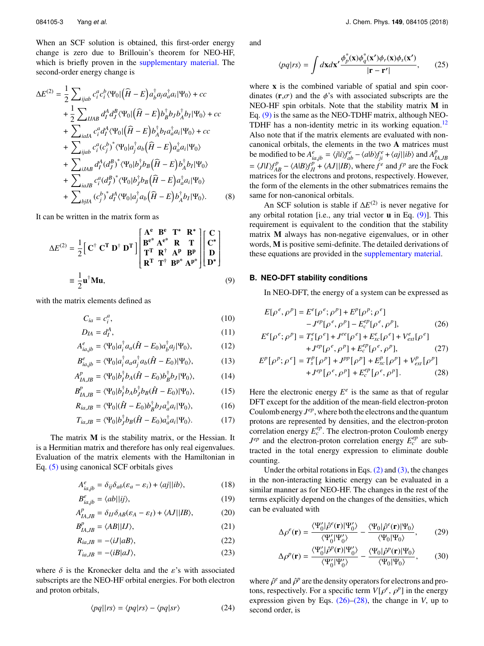When an SCF solution is obtained, this first-order energy change is zero due to Brillouin's theorem for NEO-HF, which is briefly proven in the [supplementary material.](ftp://ftp.aip.org/epaps/journ_chem_phys/E-JCPSA6-149-018832) The second-order energy change is

$$
\Delta E^{(2)} = \frac{1}{2} \sum_{ijab} c_i^a c_i^b \langle \Psi_0 | (\hat{H} - E) a_b^{\dagger} a_j a_a^{\dagger} a_i | \Psi_0 \rangle + cc \n+ \frac{1}{2} \sum_{IJAB} d_I^A d_J^B \langle \Psi_0 | (\hat{H} - E) b_B^{\dagger} b_J b_A^{\dagger} b_I | \Psi_0 \rangle + cc \n+ \sum_{ialA} c_i^a d_I^A \langle \Psi_0 | (\hat{H} - E) b_A^{\dagger} b_I a_a^{\dagger} a_i | \Psi_0 \rangle + cc \n+ \sum_{ijab} c_i^a (c_j^b)^* \langle \Psi_0 | a_j^{\dagger} a_b (\hat{H} - E) a_a^{\dagger} a_i | \Psi_0 \rangle \n+ \sum_{IJAB} d_I^A (d_J^B)^* \langle \Psi_0 | b_J^{\dagger} b_B (\hat{H} - E) b_A^{\dagger} b_I | \Psi_0 \rangle \n+ \sum_{ialB} c_i^a (d_J^B)^* \langle \Psi_0 | b_J^{\dagger} b_B (\hat{H} - E) a_a^{\dagger} a_i | \Psi_0 \rangle \n+ \sum_{ijklA} (c_j^b)^* d_I^A \langle \Psi_0 | a_j^{\dagger} a_b (\hat{H} - E) b_A^{\dagger} b_I | \Psi_0 \rangle.
$$
\n(8)

It can be written in the matrix form as

$$
\Delta E^{(2)} = \frac{1}{2} \left[ \mathbf{C}^{\dagger} \mathbf{C}^{\mathbf{T}} \mathbf{D}^{\dagger} \mathbf{D}^{\mathbf{T}} \right] \begin{bmatrix} \mathbf{A}^{\mathbf{e}} & \mathbf{B}^{\mathbf{e}} & \mathbf{T}^{*} & \mathbf{R}^{*} \\ \mathbf{B}^{\mathbf{e}^{*}} & \mathbf{A}^{\mathbf{e}^{*}} & \mathbf{R} & \mathbf{T} \\ \mathbf{T}^{\mathbf{T}} & \mathbf{R}^{\dagger} & \mathbf{A}^{\mathbf{p}} & \mathbf{B}^{\mathbf{p}} \\ \mathbf{R}^{\mathbf{T}} & \mathbf{T}^{\dagger} & \mathbf{B}^{\mathbf{p}^{*}} & \mathbf{A}^{\mathbf{p}^{*}} \end{bmatrix} \begin{bmatrix} \mathbf{C} \\ \mathbf{C}^{*} \\ \mathbf{D} \\ \mathbf{D}^{*} \end{bmatrix}
$$

$$
\equiv \frac{1}{2} \mathbf{u}^{\dagger} \mathbf{M} \mathbf{u}, \tag{9}
$$

with the matrix elements defined as

$$
C_{ia} = c_i^a,\tag{10}
$$

$$
D_{IA} = d_I^A,\tag{11}
$$

$$
A_{ia,jb}^e = \langle \Psi_0 | a_i^\dagger a_a (\hat{H} - E_0) a_b^\dagger a_j | \Psi_0 \rangle, \tag{12}
$$

$$
B_{ia,jb}^e = \langle \Psi_0 | a_i^\dagger a_a a_j^\dagger a_b (\hat{H} - E_0) | \Psi_0 \rangle, \tag{13}
$$

$$
A_{IA,JB}^p = \langle \Psi_0 | b_I^\dagger b_A (\hat{H} - E_0) b_B^\dagger b_J | \Psi_0 \rangle, \tag{14}
$$

$$
B_{IA,JB}^p = \langle \Psi_0 | b_I^\dagger b_A b_J^\dagger b_B (\hat{H} - E_0) | \Psi_0 \rangle, \tag{15}
$$

$$
R_{ia,JB} = \langle \Psi_0 | (\hat{H} - E_0) b_B^{\dagger} b_J a_a^{\dagger} a_i | \Psi_0 \rangle, \tag{16}
$$

$$
T_{ia,JB} = \langle \Psi_0 | b_J^{\dagger} b_B (\hat{H} - E_0) a_a^{\dagger} a_i | \Psi_0 \rangle.
$$
 (17)

The matrix **M** is the stability matrix, or the Hessian. It is a Hermitian matrix and therefore has only real eigenvalues. Evaluation of the matrix elements with the Hamiltonian in Eq. [\(5\)](#page-2-4) using canonical SCF orbitals gives

$$
A_{ia,jb}^e = \delta_{ij}\delta_{ab}(\varepsilon_a - \varepsilon_i) + \langle aj||ib\rangle,
$$
 (18)

$$
B_{ia,jb}^e = \langle ab \mid \mid ij \rangle,\tag{19}
$$

$$
A_{IA,JB}^p = \delta_{IJ}\delta_{AB}(\varepsilon_A - \varepsilon_I) + \langle AJ||IB\rangle, \tag{20}
$$

$$
B_{IA,JB}^p = \langle AB \vert \vert IJ \rangle,\tag{21}
$$

$$
R_{ia,JB} = -\langle iJ | aB \rangle, \tag{22}
$$

$$
T_{ia,JB} = -\langle iB|aJ\rangle,\tag{23}
$$

where  $\delta$  is the Kronecker delta and the  $\varepsilon$ 's with associated subscripts are the NEO-HF orbital energies. For both electron and proton orbitals,

$$
\langle pq||rs\rangle = \langle pq|rs\rangle - \langle pq|sr\rangle \tag{24}
$$

and

$$
\langle pq|rs\rangle = \int d\mathbf{x}d\mathbf{x}' \frac{\phi_p^*(\mathbf{x})\phi_q^*(\mathbf{x}')\phi_r(\mathbf{x})\phi_s(\mathbf{x}')}{|\mathbf{r} - \mathbf{r}'|},\qquad(25)
$$

where **x** is the combined variable of spatial and spin coordinates  $(r,\sigma)$  and the  $\phi$ 's with associated subscripts are the NEO-HF spin orbitals. Note that the stability matrix **M** in Eq. [\(9\)](#page-3-0) is the same as the NEO-TDHF matrix, although NEO-TDHF has a non-identity metric in its working equation.<sup>[12](#page-9-14)</sup> Also note that if the matrix elements are evaluated with noncanonical orbitals, the elements in the two **A** matrices must be modified to be  $A_{ia,jb}^e = \langle jli \rangle f_{ab}^e - \langle alb \rangle f_{ji}^e + \langle aj||ib \rangle$  and  $A_L^p$ *IA*,*JB*  $= \langle J|I\rangle f_{AB}^p - \langle A|B\rangle f_{II}^p + \langle AJ||IB\rangle$ , where  $f^e$  and  $f^p$  are the Fock matrices for the electrons and protons, respectively. However, the form of the elements in the other submatrices remains the same for non-canonical orbitals.

An SCF solution is stable if  $\Delta E^{(2)}$  is never negative for any orbital rotation [i.e., any trial vector **u** in Eq. [\(9\)\]](#page-3-0). This requirement is equivalent to the condition that the stability matrix **M** always has non-negative eigenvalues, or in other words, **M** is positive semi-definite. The detailed derivations of these equations are provided in the [supplementary material.](ftp://ftp.aip.org/epaps/journ_chem_phys/E-JCPSA6-149-018832)

## <span id="page-3-0"></span>**B. NEO-DFT stability conditions**

In NEO-DFT, the energy of a system can be expressed as

<span id="page-3-1"></span>
$$
E[\rho^e, \rho^p] = E^e[\rho^e; \rho^p] + E^p[\rho^p; \rho^e]
$$

$$
-J^{ep}[\rho^e, \rho^p] - E_c^{ep}[\rho^e, \rho^p], \tag{26}
$$

$$
E^{e}[\rho^{e}; \rho^{p}] = T_{s}^{e}[\rho^{e}] + J^{ee}[\rho^{e}] + E_{xc}^{e}[\rho^{e}] + V_{ext}^{e}[\rho^{e}]
$$
  
+  $J^{ep}[\rho^{e}, \rho^{p}] + E_{c}^{ep}[\rho^{e}, \rho^{p}],$  (27)

<span id="page-3-2"></span>
$$
E^{p}[\rho^{p}; \rho^{e}] = T_{s}^{p}[\rho^{p}] + J^{pp}[\rho^{p}] + E_{xc}^{p}[\rho^{p}] + V_{ext}^{p}[\rho^{p}] + J^{ep}[\rho^{e}, \rho^{p}] + E_{c}^{ep}[\rho^{e}, \rho^{p}].
$$
 (28)

Here the electronic energy  $E^e$  is the same as that of regular DFT except for the addition of the mean-field electron-proton Coulomb energy  $J^{ep}$ , where both the electrons and the quantum protons are represented by densities, and the electron-proton correlation energy  $E_c^{ep}$ . The electron-proton Coulomb energy  $J^{ep}$  and the electron-proton correlation energy  $E_c^{ep}$  are subtracted in the total energy expression to eliminate double counting.

Under the orbital rotations in Eqs.  $(2)$  and  $(3)$ , the changes in the non-interacting kinetic energy can be evaluated in a similar manner as for NEO-HF. The changes in the rest of the terms explicitly depend on the changes of the densities, which can be evaluated with

$$
\Delta \rho^e(\mathbf{r}) = \frac{\langle \Psi_0' | \hat{\rho}^e(\mathbf{r}) | \Psi_0' \rangle}{\langle \Psi_0' | \Psi_0' \rangle} - \frac{\langle \Psi_0 | \hat{\rho}^e(\mathbf{r}) | \Psi_0 \rangle}{\langle \Psi_0 | \Psi_0 \rangle}, \quad (29)
$$

$$
\Delta \rho^{p}(\mathbf{r}) = \frac{\langle \Psi_{0}' | \hat{\rho}^{p}(\mathbf{r}) | \Psi_{0}' \rangle}{\langle \Psi_{0}' | \Psi_{0}' \rangle} - \frac{\langle \Psi_{0} | \hat{\rho}^{p}(\mathbf{r}) | \Psi_{0} \rangle}{\langle \Psi_{0} | \Psi_{0} \rangle}, \quad (30)
$$

where  $\hat{\rho}^e$  and  $\hat{\rho}^p$  are the density operators for electrons and pro-<br>tops, respectively. For a specific term  $V[\hat{\rho}^e, \hat{\rho}^p]$  in the energy tons, respectively. For a specific term  $V[\rho^e, \rho^p]$  in the energy<br>expression given by Eqs. (26)–(28), the change in V, up to expression given by Eqs.  $(26)$ – $(28)$ , the change in *V*, up to second order, is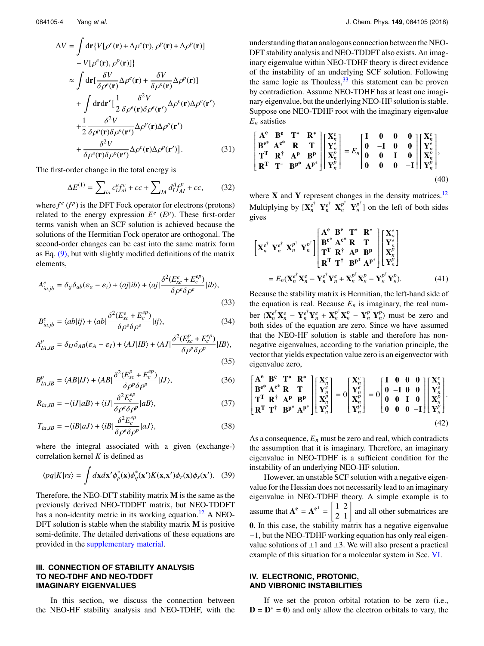$$
\Delta V = \int d\mathbf{r} \{ V[\rho^e(\mathbf{r}) + \Delta \rho^e(\mathbf{r}), \rho^p(\mathbf{r}) + \Delta \rho^p(\mathbf{r})] - V[\rho^e(\mathbf{r}), \rho^p(\mathbf{r})] \}
$$
  
\n
$$
\approx \int d\mathbf{r} [\frac{\delta V}{\delta \rho^e(\mathbf{r})} \Delta \rho^e(\mathbf{r}) + \frac{\delta V}{\delta \rho^p(\mathbf{r})} \Delta \rho^p(\mathbf{r})]
$$
  
\n
$$
+ \int d\mathbf{r} d\mathbf{r'} [\frac{1}{2} \frac{\delta^2 V}{\delta \rho^e(\mathbf{r}) \delta \rho^e(\mathbf{r'})} \Delta \rho^e(\mathbf{r}) \Delta \rho^e(\mathbf{r'})
$$
  
\n
$$
+ \frac{1}{2} \frac{\delta^2 V}{\delta \rho^p(\mathbf{r}) \delta \rho^p(\mathbf{r'})} \Delta \rho^p(\mathbf{r}) \Delta \rho^p(\mathbf{r'})
$$
  
\n
$$
+ \frac{\delta^2 V}{\delta \rho^e(\mathbf{r}) \delta \rho^p(\mathbf{r'})} \Delta \rho^e(\mathbf{r}) \Delta \rho^p(\mathbf{r'})].
$$
 (31)

The first-order change in the total energy is

$$
\Delta E^{(1)} = \sum_{ia} c_{i}^{a} f_{ai}^{e} + cc + \sum_{IA} d_{I}^{A} f_{AI}^{p} + cc,
$$
 (32)

where  $f^e$  ( $f^p$ ) is the DFT Fock operator for electrons (protons) related to the energy expression  $E^e$  ( $E^p$ ). These first-order terms vanish when an SCF solution is achieved because the solutions of the Hermitian Fock operator are orthogonal. The second-order changes can be cast into the same matrix form as Eq.  $(9)$ , but with slightly modified definitions of the matrix elements,

$$
A_{ia,jb}^e = \delta_{ij}\delta_{ab}(\varepsilon_a - \varepsilon_i) + \langle aj|ib \rangle + \langle aj|\frac{\delta^2 (E_{xc}^e + E_c^{ep})}{\delta \rho^e \delta \rho^e}|ib \rangle, \tag{33}
$$

$$
B_{ia,jb}^e = \langle ab|ij\rangle + \langle ab|\frac{\delta^2(E_{xc}^e + E_c^{ep})}{\delta \rho^e \delta \rho^e}|ij\rangle, \tag{34}
$$

$$
A_{IA,JB}^p = \delta_{IJ}\delta_{AB}(\varepsilon_A - \varepsilon_I) + \langle AJ|IB \rangle + \langle AJ|\frac{\delta^2(E_{xc}^p + E_c^{ep})}{\delta \rho^p \delta \rho^p}|IB \rangle, \tag{35}
$$

$$
B_{IA,JB}^{p} = \langle AB|IJ\rangle + \langle AB|\frac{\delta^{2}(E_{xc}^{p} + E_{c}^{ep})}{\delta\rho^{p}\delta\rho^{p}}|IJ\rangle, \tag{36}
$$

$$
R_{ia,JB} = -\langle iJ|aB\rangle + \langle iJ| \frac{\delta^2 E_c^{ep}}{\delta \rho^e \delta \rho^p} |aB\rangle, \tag{37}
$$

$$
T_{ia,JB} = -\langle iB|aJ\rangle + \langle iB|\frac{\delta^2 E_c^{ep}}{\delta \rho^e \delta \rho^p} |aJ\rangle, \tag{38}
$$

where the integral associated with a given (exchange-) correlation kernel *K* is defined as

$$
\langle pq|K|rs\rangle = \int d\mathbf{x}d\mathbf{x}'\phi_p^*(\mathbf{x})\phi_q^*(\mathbf{x}')K(\mathbf{x},\mathbf{x}')\phi_r(\mathbf{x})\phi_s(\mathbf{x}'). \quad (39)
$$

Therefore, the NEO-DFT stability matrix **M** is the same as the previously derived NEO-TDDFT matrix, but NEO-TDDFT has a non-identity metric in its working equation.<sup>[12](#page-9-14)</sup> A NEO-DFT solution is stable when the stability matrix **M** is positive semi-definite. The detailed derivations of these equations are provided in the [supplementary material.](ftp://ftp.aip.org/epaps/journ_chem_phys/E-JCPSA6-149-018832)

## <span id="page-4-0"></span>**III. CONNECTION OF STABILITY ANALYSIS TO NEO-TDHF AND NEO-TDDFT IMAGINARY EIGENVALUES**

In this section, we discuss the connection between the NEO-HF stability analysis and NEO-TDHF, with the

understanding that an analogous connection between the NEO-DFT stability analysis and NEO-TDDFT also exists. An imaginary eigenvalue within NEO-TDHF theory is direct evidence of the instability of an underlying SCF solution. Following the same logic as Thouless,  $33$  this statement can be proven by contradiction. Assume NEO-TDHF has at least one imaginary eigenvalue, but the underlying NEO-HF solution is stable. Suppose one NEO-TDHF root with the imaginary eigenvalue *E<sup>n</sup>* satisfies

$$
\begin{bmatrix} A^{e} & B^{e} & T^{*} & R^{*} \ B^{e^{*}} & A^{e^{*}} & R & T \ T^{T} & R^{*} & A^{p} & B^{p} \ R^{T} & T^{*} & B^{p^{*}} & A^{p^{*}} \end{bmatrix} \begin{bmatrix} X_{n}^{e} \\ Y_{n}^{e} \\ X_{n}^{p} \\ Y_{n}^{p} \end{bmatrix} = E_{n} \begin{bmatrix} I & 0 & 0 & 0 \ 0 & -I & 0 & 0 \ 0 & 0 & I & 0 \ 0 & 0 & 0 & -I \end{bmatrix} \begin{bmatrix} X_{n}^{e} \\ Y_{n}^{e} \\ X_{n}^{p} \\ Y_{n}^{p} \end{bmatrix},
$$
\n
$$
(40)
$$

where **X** and **Y** represent changes in the density matrices.<sup>[12](#page-9-14)</sup> Multiplying by  $[\mathbf{X}_n^{e^{\dagger}} \ \mathbf{Y}_n^{e^{\dagger}} \ \mathbf{X}_n^{p^{\dagger}} \ \mathbf{Y}_n^{p^{\dagger}}$  $\binom{p}{n}$  on the left of both sides gives

$$
\begin{aligned}\n\begin{bmatrix}\n\mathbf{X}_n^{e^{\dagger}} & \mathbf{Y}_n^{e^{\dagger}} & \mathbf{X}_n^{p^{\dagger}}\n\end{bmatrix}\n\begin{bmatrix}\n\mathbf{A}^e & \mathbf{B}^e & \mathbf{T}^* & \mathbf{R}^* \\
\mathbf{B}^{e^*} & \mathbf{A}^{e^*} & \mathbf{R} & \mathbf{T} \\
\mathbf{T}^T & \mathbf{R}^{\dagger} & \mathbf{A}^p & \mathbf{B}^p \\
\mathbf{R}^T & \mathbf{T}^{\dagger} & \mathbf{B}^{p^*} & \mathbf{A}^{p^*}\n\end{bmatrix}\n\begin{bmatrix}\n\mathbf{X}_n^e \\
\mathbf{Y}_n^p \\
\mathbf{X}_n^p\n\end{bmatrix}\n\\
= E_n(\mathbf{X}_n^{e^{\dagger}}\mathbf{X}_n^e - \mathbf{Y}_n^{e^{\dagger}}\mathbf{Y}_n^e + \mathbf{X}_n^{p^{\dagger}}\mathbf{X}_n^p - \mathbf{Y}_n^{p^{\dagger}}\mathbf{Y}_n^p).\n\end{aligned} \tag{41}
$$

<span id="page-4-3"></span><span id="page-4-2"></span>Because the stability matrix is Hermitian, the left-hand side of the equation is real. Because  $E_n$  is imaginary, the real number  $(\mathbf{X}_n^{e^{\dagger}} \mathbf{X}_n^e - \mathbf{Y}_n^{e^{\dagger}} \mathbf{Y}_n^e + \mathbf{X}_n^{p^{\dagger}} \mathbf{X}_n^p - \mathbf{Y}_n^{p^{\dagger}} \mathbf{Y}_n^p)$  must be zero and both sides of the equation are zero. Since we have assumed that the NEO-HF solution is stable and therefore has nonnegative eigenvalues, according to the variation principle, the vector that yields expectation value zero is an eigenvector with eigenvalue zero,

$$
\begin{bmatrix}\nA^e & B^e & T^* & R^* \\
B^{e*} & A^{e*} & R & T \\
T^T & R^{\dagger} & A^p & B^p \\
R^T & T^{\dagger} & B^{p*} & A^{p*}\n\end{bmatrix}\n\begin{bmatrix}\nX_n^e \\
Y_n^e \\
X_n^p \\
Y_n^p\n\end{bmatrix} = 0\n\begin{bmatrix}\nX_n^e \\
Y_n^e \\
X_n^p \\
Y_n^p\n\end{bmatrix} = 0\n\begin{bmatrix}\nI & 0 & 0 & 0 \\
0 & -I & 0 & 0 \\
0 & 0 & I & 0 \\
0 & 0 & 0 & -I\n\end{bmatrix}\n\begin{bmatrix}\nX_n^e \\
Y_n^e \\
X_n^p \\
Y_n^p\n\end{bmatrix}.
$$
\n(42)

As a consequence,  $E_n$  must be zero and real, which contradicts the assumption that it is imaginary. Therefore, an imaginary eigenvalue in NEO-TDHF is a sufficient condition for the instability of an underlying NEO-HF solution.

However, an unstable SCF solution with a negative eigenvalue for the Hessian does not necessarily lead to an imaginary eigenvalue in NEO-TDHF theory. A simple example is to assume that  $A^e = A^{e^*} = \begin{bmatrix} 1 & 2 \\ 2 & 1 \end{bmatrix}$  $\begin{bmatrix} 1 & 2 \\ 2 & 1 \end{bmatrix}$  and all other submatrices are **0**. In this case, the stability matrix has a negative eigenvalue −1, but the NEO-TDHF working equation has only real eigenvalue solutions of  $\pm 1$  and  $\pm 3$ . We will also present a practical example of this situation for a molecular system in Sec. [VI.](#page-7-0)

## <span id="page-4-1"></span>**IV. ELECTRONIC, PROTONIC, AND VIBRONIC INSTABILITIES**

If we set the proton orbital rotation to be zero (i.e.,  $\mathbf{D} = \mathbf{D}^* = \mathbf{0}$  and only allow the electron orbitals to vary, the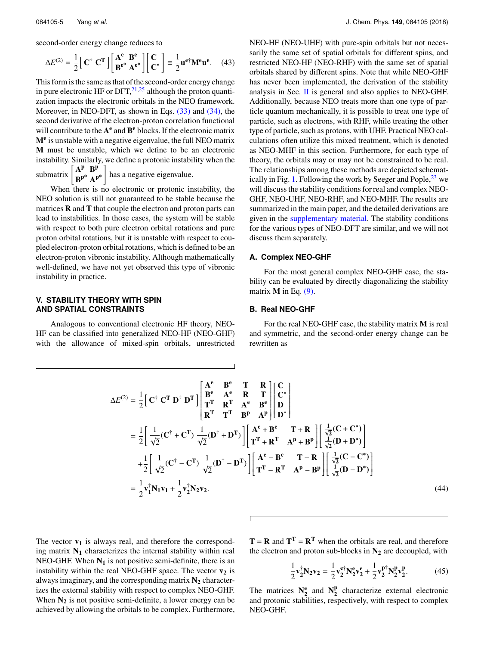second-order energy change reduces to .<br>..

$$
\Delta E^{(2)} = \frac{1}{2} \left[ \mathbf{C}^{\dagger} \mathbf{C}^{\mathbf{T}} \right] \left[ \frac{\mathbf{A}^{\mathbf{e}}}{\mathbf{B}^{\mathbf{e}^*}} \mathbf{A}^{\mathbf{e}^*} \right] \left[ \frac{\mathbf{C}}{\mathbf{C}^*} \right] \equiv \frac{1}{2} \mathbf{u}^{\mathbf{e}^*} \mathbf{M}^{\mathbf{e}} \mathbf{u}^{\mathbf{e}}. \quad (43)
$$

This form is the same as that of the second-order energy change in pure electronic HF or  $DFT$ ,<sup>[21](#page-9-17)[,25](#page-9-26)</sup> although the proton quantization impacts the electronic orbitals in the NEO framework. Moreover, in NEO-DFT, as shown in Eqs. [\(33\)](#page-4-2) and [\(34\),](#page-4-3) the second derivative of the electron-proton correlation functional will contribute to the **A e** and **B <sup>e</sup>** blocks. If the electronic matrix **M<sup>e</sup>** is unstable with a negative eigenvalue, the full NEO matrix **M** must be unstable, which we define to be an electronic instability. Similarly, we define a protonic instability when the submatrix  $A^p$  **B**<sup>p</sup>  $\mathbf{A}^{\mathbf{p}}$   $\mathbf{B}^{\mathbf{p}}$   $\mathbf{B}^{\mathbf{p}*}$   $\mathbf{A}^{\mathbf{p}*}$  has a negative eigenvalue.

When there is no electronic or protonic instability, the NEO solution is still not guaranteed to be stable because the matrices **R** and **T** that couple the electron and proton parts can lead to instabilities. In those cases, the system will be stable with respect to both pure electron orbital rotations and pure proton orbital rotations, but it is unstable with respect to coupled electron-proton orbital rotations, which is defined to be an electron-proton vibronic instability. Although mathematically well-defined, we have not yet observed this type of vibronic instability in practice.

## <span id="page-5-0"></span>**V. STABILITY THEORY WITH SPIN AND SPATIAL CONSTRAINTS**

Analogous to conventional electronic HF theory, NEO-HF can be classified into generalized NEO-HF (NEO-GHF) with the allowance of mixed-spin orbitals, unrestricted

NEO-HF (NEO-UHF) with pure-spin orbitals but not necessarily the same set of spatial orbitals for different spins, and restricted NEO-HF (NEO-RHF) with the same set of spatial orbitals shared by different spins. Note that while NEO-GHF has never been implemented, the derivation of the stability analysis in Sec. [II](#page-2-0) is general and also applies to NEO-GHF. Additionally, because NEO treats more than one type of particle quantum mechanically, it is possible to treat one type of particle, such as electrons, with RHF, while treating the other type of particle, such as protons, with UHF. Practical NEO calculations often utilize this mixed treatment, which is denoted as NEO-MHF in this section. Furthermore, for each type of theory, the orbitals may or may not be constrained to be real. The relationships among these methods are depicted schemat-ically in Fig. [1.](#page-6-0) Following the work by Seeger and Pople,  $23$  we will discuss the stability conditions for real and complex NEO-GHF, NEO-UHF, NEO-RHF, and NEO-MHF. The results are summarized in the main paper, and the detailed derivations are given in the [supplementary material.](ftp://ftp.aip.org/epaps/journ_chem_phys/E-JCPSA6-149-018832) The stability conditions for the various types of NEO-DFT are similar, and we will not discuss them separately.

#### **A. Complex NEO-GHF**

For the most general complex NEO-GHF case, the stability can be evaluated by directly diagonalizing the stability matrix **M** in Eq. [\(9\).](#page-3-0)

#### **B. Real NEO-GHF**

For the real NEO-GHF case, the stability matrix **M** is real and symmetric, and the second-order energy change can be rewritten as

$$
\Delta E^{(2)} = \frac{1}{2} \left[ \mathbf{C}^{\dagger} \mathbf{C}^{\mathbf{T}} \mathbf{D}^{\dagger} \mathbf{D}^{\mathbf{T}} \right] \begin{bmatrix} \mathbf{A}^e & \mathbf{B}^e & \mathbf{T} & \mathbf{R} \\ \mathbf{B}^e & \mathbf{A}^e & \mathbf{R} & \mathbf{T} \\ \mathbf{T}^T & \mathbf{R}^T & \mathbf{A}^e & \mathbf{B}^e \\ \mathbf{R}^T & \mathbf{T}^T & \mathbf{B}^p & \mathbf{A}^p \end{bmatrix} \begin{bmatrix} \mathbf{C}^* \\ \mathbf{D} \\ \mathbf{D}^* \end{bmatrix}
$$
  
\n
$$
= \frac{1}{2} \left[ \frac{1}{\sqrt{2}} (\mathbf{C}^{\dagger} + \mathbf{C}^{\mathbf{T}}) \frac{1}{\sqrt{2}} (\mathbf{D}^{\dagger} + \mathbf{D}^{\mathbf{T}}) \right] \left[ \frac{\mathbf{A}^e + \mathbf{B}^e}{\mathbf{T}^T + \mathbf{R}^T} \mathbf{A}^p + \mathbf{B}^p \right] \left[ \frac{1}{\sqrt{2}} (\mathbf{C} + \mathbf{C}^*) \right]
$$
  
\n
$$
+ \frac{1}{2} \left[ \frac{1}{\sqrt{2}} (\mathbf{C}^{\dagger} - \mathbf{C}^{\mathbf{T}}) \frac{1}{\sqrt{2}} (\mathbf{D}^{\dagger} - \mathbf{D}^{\mathbf{T}}) \right] \left[ \frac{\mathbf{A}^e - \mathbf{B}^e}{\mathbf{T}^T + \mathbf{A}^P - \mathbf{B}^p} \right] \left[ \frac{1}{\sqrt{2}} (\mathbf{C} - \mathbf{C}^*) \right]
$$
  
\n
$$
= \frac{1}{2} \mathbf{v}_1^{\dagger} \mathbf{N}_1 \mathbf{v}_1 + \frac{1}{2} \mathbf{v}_2^{\dagger} \mathbf{N}_2 \mathbf{v}_2.
$$
 (44)

The vector  $\mathbf{v}_1$  is always real, and therefore the corresponding matrix  $N_1$  characterizes the internal stability within real NEO-GHF. When  $N_1$  is not positive semi-definite, there is an instability within the real NEO-GHF space. The vector **v<sup>2</sup>** is always imaginary, and the corresponding matrix **N<sup>2</sup>** characterizes the external stability with respect to complex NEO-GHF. When **N<sup>2</sup>** is not positive semi-definite, a lower energy can be achieved by allowing the orbitals to be complex. Furthermore,

 $T = R$  and  $T<sup>T</sup> = R<sup>T</sup>$  when the orbitals are real, and therefore the electron and proton sub-blocks in **N<sup>2</sup>** are decoupled, with

<span id="page-5-1"></span>
$$
\frac{1}{2}\mathbf{v}_{2}^{\dagger}\mathbf{N}_{2}\mathbf{v}_{2} = \frac{1}{2}\mathbf{v}_{2}^{\mathbf{e}\dagger}\mathbf{N}_{2}^{\mathbf{e}}\mathbf{v}_{2}^{\mathbf{e}} + \frac{1}{2}\mathbf{v}_{2}^{\mathbf{p}\dagger}\mathbf{N}_{2}^{\mathbf{p}}\mathbf{v}_{2}^{\mathbf{p}}.
$$
 (45)

The matrices  $N_2^e$  and  $N_2^p$ <sup>p</sup> characterize external electronic and protonic stabilities, respectively, with respect to complex NEO-GHF.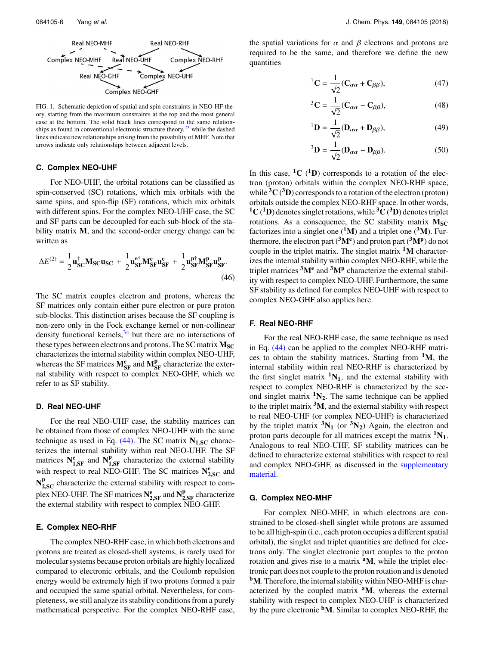<span id="page-6-0"></span>

FIG. 1. Schematic depiction of spatial and spin constraints in NEO-HF theory, starting from the maximum constraints at the top and the most general case at the bottom. The solid black lines correspond to the same relationships as found in conventional electronic structure theory,  $2^3$  while the dashed lines indicate new relationships arising from the possibility of MHF. Note that arrows indicate only relationships between adjacent levels.

#### **C. Complex NEO-UHF**

For NEO-UHF, the orbital rotations can be classified as spin-conserved (SC) rotations, which mix orbitals with the same spins, and spin-flip (SF) rotations, which mix orbitals with different spins. For the complex NEO-UHF case, the SC and SF parts can be decoupled for each sub-block of the stability matrix **M**, and the second-order energy change can be written as

$$
\Delta E^{(2)} = \frac{1}{2} \mathbf{u}_{\mathrm{SC}}^{\dagger} \mathbf{M}_{\mathrm{SC}} \mathbf{u}_{\mathrm{SC}} + \frac{1}{2} \mathbf{u}_{\mathrm{SF}}^{\mathrm{e}\dagger} \mathbf{M}_{\mathrm{SF}}^{\mathrm{e}} \mathbf{u}_{\mathrm{SF}}^{\mathrm{e}} + \frac{1}{2} \mathbf{u}_{\mathrm{SF}}^{\mathrm{p}\dagger} \mathbf{M}_{\mathrm{SF}}^{\mathrm{p}} \mathbf{u}_{\mathrm{SF}}^{\mathrm{p}}.
$$
\n(46)

The SC matrix couples electron and protons, whereas the SF matrices only contain either pure electron or pure proton sub-blocks. This distinction arises because the SF coupling is non-zero only in the Fock exchange kernel or non-collinear density functional kernels,  $34$  but there are no interactions of these types between electrons and protons. The SC matrix  $M_{SC}$ characterizes the internal stability within complex NEO-UHF, whereas the SF matrices  $M_{SF}^e$  and  $M_{SF}^p$  characterize the external stability with respect to complex NEO-GHF, which we refer to as SF stability.

### **D. Real NEO-UHF**

For the real NEO-UHF case, the stability matrices can be obtained from those of complex NEO-UHF with the same technique as used in Eq.  $(44)$ . The SC matrix  $N_{1,SC}$  characterizes the internal stability within real NEO-UHF. The SF matrices  $N_{1,SF}^e$  and  $N_{1,SF}^p$  characterize the external stability with respect to real NEO-GHF. The SC matrices  $N_{2,SC}^e$  and  $N_{2,SC}^{p}$  characterize the external stability with respect to complex NEO-UHF. The SF matrices  $N_{2, SF}^e$  and  $N_{2, SF}^p$  characterize the external stability with respect to complex NEO-GHF.

#### **E. Complex NEO-RHF**

The complex NEO-RHF case, in which both electrons and protons are treated as closed-shell systems, is rarely used for molecular systems because proton orbitals are highly localized compared to electronic orbitals, and the Coulomb repulsion energy would be extremely high if two protons formed a pair and occupied the same spatial orbital. Nevertheless, for completeness, we still analyze its stability conditions from a purely mathematical perspective. For the complex NEO-RHF case,

the spatial variations for  $\alpha$  and  $\beta$  electrons and protons are required to be the same, and therefore we define the new quantities

$$
{}^{1}\mathbf{C} = \frac{1}{\sqrt{2}}(\mathbf{C}_{\alpha\alpha} + \mathbf{C}_{\beta\beta}),\tag{47}
$$

$$
{}^{3}\mathbf{C} = \frac{1}{\sqrt{2}}(\mathbf{C}_{\alpha\alpha} - \mathbf{C}_{\beta\beta}),\tag{48}
$$

$$
{}^{1}\mathbf{D} = \frac{1}{\sqrt{2}}(\mathbf{D}_{\alpha\alpha} + \mathbf{D}_{\beta\beta}),
$$
 (49)

$$
{}^{3}\mathbf{D} = \frac{1}{\sqrt{2}}(\mathbf{D}_{\alpha\alpha} - \mathbf{D}_{\beta\beta}).
$$
 (50)

In this case,  ${}^{1}C$  ( ${}^{1}D$ ) corresponds to a rotation of the electron (proton) orbitals within the complex NEO-RHF space, while **<sup>3</sup>C** ( **<sup>3</sup>D**) corresponds to a rotation of the electron (proton) orbitals outside the complex NEO-RHF space. In other words, **<sup>1</sup>C** ( **<sup>1</sup>D**) denotes singlet rotations, while **<sup>3</sup>C** ( **<sup>3</sup>D**) denotes triplet rotations. As a consequence, the SC stability matrix  $M_{SC}$ factorizes into a singlet one ( ${}^{1}$ **M**) and a triplet one ( ${}^{3}$ **M**). Furthermore, the electron part ( $\rm ^3M^e$ ) and proton part ( $\rm ^3M^p)$  do not couple in the triplet matrix. The singlet matrix **<sup>1</sup>M** characterizes the internal stability within complex NEO-RHF, while the triplet matrices **<sup>3</sup>M<sup>e</sup>** and **<sup>3</sup>M<sup>p</sup>** characterize the external stability with respect to complex NEO-UHF. Furthermore, the same SF stability as defined for complex NEO-UHF with respect to complex NEO-GHF also applies here.

## **F. Real NEO-RHF**

For the real NEO-RHF case, the same technique as used in Eq. [\(44\)](#page-5-1) can be applied to the complex NEO-RHF matrices to obtain the stability matrices. Starting from **<sup>1</sup>M**, the internal stability within real NEO-RHF is characterized by the first singlet matrix  $^1N_1$ , and the external stability with respect to complex NEO-RHF is characterized by the second singlet matrix  $\mathbf{^1N_2}$ . The same technique can be applied to the triplet matrix **<sup>3</sup>M**, and the external stability with respect to real NEO-UHF (or complex NEO-UHF) is characterized by the triplet matrix  ${}^{3}N_{1}$  (or  ${}^{3}N_{2}$ ) Again, the electron and proton parts decouple for all matrices except the matrix  ${}^{1}N_{1}$ . Analogous to real NEO-UHF, SF stability matrices can be defined to characterize external stabilities with respect to real and complex NEO-GHF, as discussed in the [supplementary](ftp://ftp.aip.org/epaps/journ_chem_phys/E-JCPSA6-149-018832) [material.](ftp://ftp.aip.org/epaps/journ_chem_phys/E-JCPSA6-149-018832)

#### **G. Complex NEO-MHF**

For complex NEO-MHF, in which electrons are constrained to be closed-shell singlet while protons are assumed to be all high-spin (i.e., each proton occupies a different spatial orbital), the singlet and triplet quantities are defined for electrons only. The singlet electronic part couples to the proton rotation and gives rise to a matrix **<sup>a</sup>M**, while the triplet electronic part does not couple to the proton rotation and is denoted **<sup>b</sup>M**. Therefore, the internal stability within NEO-MHF is characterized by the coupled matrix **<sup>a</sup>M**, whereas the external stability with respect to complex NEO-UHF is characterized by the pure electronic **<sup>b</sup>M**. Similar to complex NEO-RHF, the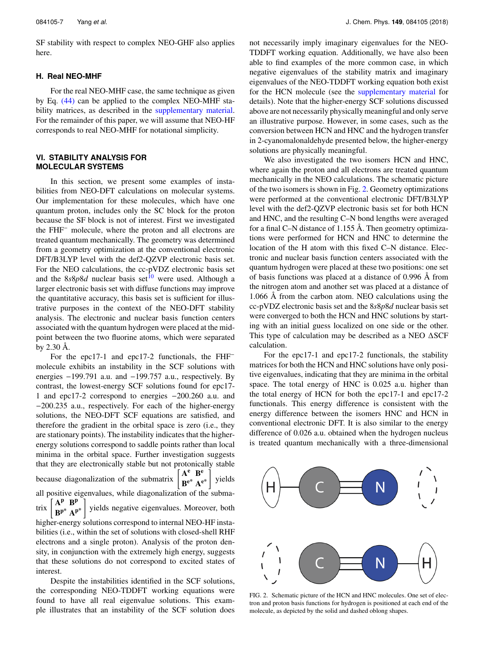SF stability with respect to complex NEO-GHF also applies here.

#### **H. Real NEO-MHF**

For the real NEO-MHF case, the same technique as given by Eq. [\(44\)](#page-5-1) can be applied to the complex NEO-MHF stability matrices, as described in the [supplementary material.](ftp://ftp.aip.org/epaps/journ_chem_phys/E-JCPSA6-149-018832) For the remainder of this paper, we will assume that NEO-HF corresponds to real NEO-MHF for notational simplicity.

## <span id="page-7-0"></span>**VI. STABILITY ANALYSIS FOR MOLECULAR SYSTEMS**

In this section, we present some examples of instabilities from NEO-DFT calculations on molecular systems. Our implementation for these molecules, which have one quantum proton, includes only the SC block for the proton because the SF block is not of interest. First we investigated the FHF<sup>−</sup> molecule, where the proton and all electrons are treated quantum mechanically. The geometry was determined from a geometry optimization at the conventional electronic DFT/B3LYP level with the def2-QZVP electronic basis set. For the NEO calculations, the cc-pVDZ electronic basis set and the  $8s8p8d$  nuclear basis set<sup>[10](#page-9-2)</sup> were used. Although a larger electronic basis set with diffuse functions may improve the quantitative accuracy, this basis set is sufficient for illustrative purposes in the context of the NEO-DFT stability analysis. The electronic and nuclear basis function centers associated with the quantum hydrogen were placed at the midpoint between the two fluorine atoms, which were separated by 2.30 Å.

For the epc17-1 and epc17-2 functionals, the FHF<sup>−</sup> molecule exhibits an instability in the SCF solutions with energies −199.791 a.u. and −199.757 a.u., respectively. By contrast, the lowest-energy SCF solutions found for epc17- 1 and epc17-2 correspond to energies −200.260 a.u. and −200.235 a.u., respectively. For each of the higher-energy solutions, the NEO-DFT SCF equations are satisfied, and therefore the gradient in the orbital space is zero (i.e., they are stationary points). The instability indicates that the higherenergy solutions correspond to saddle points rather than local minima in the orbital space. Further investigation suggests that they are electronically stable but not protonically stable<br>because diagonalization of the submatrix  $\begin{bmatrix} A^e & B^e \\ B^{e^*} & A^{e^*} \end{bmatrix}$  yields because diagonalization of the submatrix **A <sup>e</sup> B e B e\* A** yields all positive eigenvalues, while diagonalization of the subma-<br>trix  $\begin{bmatrix} \mathbf{A}^{\mathbf{p}} & \mathbf{B}^{\mathbf{p}} \\ \mathbf{R}\mathbf{p}^{*} & \mathbf{A}\mathbf{p}^{*} \end{bmatrix}$  yields negative eigenvalues. Moreover, both  $A^p$  **B**<sup>p</sup> **B p\* A** yields negative eigenvalues. Moreover, both higher-energy solutions correspond to internal NEO-HF instabilities (i.e., within the set of solutions with closed-shell RHF electrons and a single proton). Analysis of the proton density, in conjunction with the extremely high energy, suggests that these solutions do not correspond to excited states of interest.

Despite the instabilities identified in the SCF solutions, the corresponding NEO-TDDFT working equations were found to have all real eigenvalue solutions. This example illustrates that an instability of the SCF solution does not necessarily imply imaginary eigenvalues for the NEO-TDDFT working equation. Additionally, we have also been able to find examples of the more common case, in which negative eigenvalues of the stability matrix and imaginary eigenvalues of the NEO-TDDFT working equation both exist for the HCN molecule (see the [supplementary material](ftp://ftp.aip.org/epaps/journ_chem_phys/E-JCPSA6-149-018832) for details). Note that the higher-energy SCF solutions discussed above are not necessarily physically meaningful and only serve an illustrative purpose. However, in some cases, such as the conversion between HCN and HNC and the hydrogen transfer in 2-cyanomalonaldehyde presented below, the higher-energy solutions are physically meaningful.

We also investigated the two isomers HCN and HNC, where again the proton and all electrons are treated quantum mechanically in the NEO calculations. The schematic picture of the two isomers is shown in Fig. [2.](#page-7-1) Geometry optimizations were performed at the conventional electronic DFT/B3LYP level with the def2-QZVP electronic basis set for both HCN and HNC, and the resulting C–N bond lengths were averaged for a final C–N distance of 1.155 Å. Then geometry optimizations were performed for HCN and HNC to determine the location of the H atom with this fixed C–N distance. Electronic and nuclear basis function centers associated with the quantum hydrogen were placed at these two positions: one set of basis functions was placed at a distance of 0.996 Å from the nitrogen atom and another set was placed at a distance of 1.066 Å from the carbon atom. NEO calculations using the cc-pVDZ electronic basis set and the 8*s*8*p*8*d* nuclear basis set were converged to both the HCN and HNC solutions by starting with an initial guess localized on one side or the other. This type of calculation may be described as a NEO ∆SCF calculation.

For the epc17-1 and epc17-2 functionals, the stability matrices for both the HCN and HNC solutions have only positive eigenvalues, indicating that they are minima in the orbital space. The total energy of HNC is 0.025 a.u. higher than the total energy of HCN for both the epc17-1 and epc17-2 functionals. This energy difference is consistent with the energy difference between the isomers HNC and HCN in conventional electronic DFT. It is also similar to the energy difference of 0.026 a.u. obtained when the hydrogen nucleus is treated quantum mechanically with a three-dimensional

<span id="page-7-1"></span>

FIG. 2. Schematic picture of the HCN and HNC molecules. One set of electron and proton basis functions for hydrogen is positioned at each end of the molecule, as depicted by the solid and dashed oblong shapes.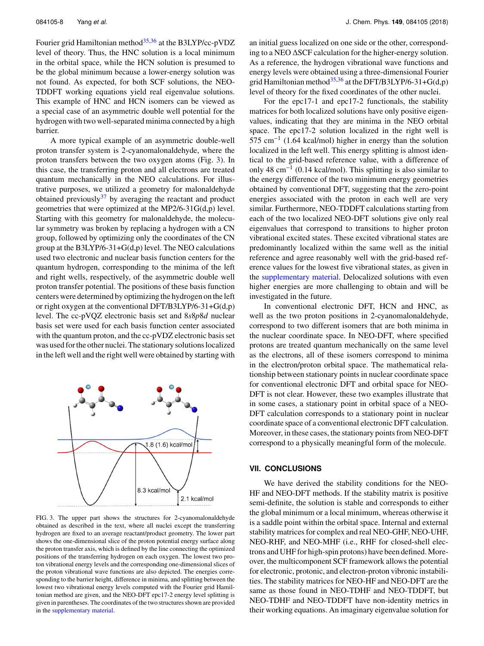Fourier grid Hamiltonian method<sup>[35,](#page-9-28)[36](#page-9-29)</sup> at the B3LYP/cc-pVDZ level of theory. Thus, the HNC solution is a local minimum in the orbital space, while the HCN solution is presumed to be the global minimum because a lower-energy solution was not found. As expected, for both SCF solutions, the NEO-TDDFT working equations yield real eigenvalue solutions. This example of HNC and HCN isomers can be viewed as a special case of an asymmetric double well potential for the hydrogen with two well-separated minima connected by a high barrier.

A more typical example of an asymmetric double-well proton transfer system is 2-cyanomalonaldehyde, where the proton transfers between the two oxygen atoms (Fig. [3\)](#page-8-1). In this case, the transferring proton and all electrons are treated quantum mechanically in the NEO calculations. For illustrative purposes, we utilized a geometry for malonaldehyde obtained previously $3^7$  by averaging the reactant and product geometries that were optimized at the MP2/6-31G(d,p) level. Starting with this geometry for malonaldehyde, the molecular symmetry was broken by replacing a hydrogen with a CN group, followed by optimizing only the coordinates of the CN group at the B3LYP/6-31+G(d,p) level. The NEO calculations used two electronic and nuclear basis function centers for the quantum hydrogen, corresponding to the minima of the left and right wells, respectively, of the asymmetric double well proton transfer potential. The positions of these basis function centers were determined by optimizing the hydrogen on the left or right oxygen at the conventional DFT/B3LYP/6-31+G(d,p) level. The cc-pVQZ electronic basis set and 8*s*8*p*8*d* nuclear basis set were used for each basis function center associated with the quantum proton, and the cc-pVDZ electronic basis set was used for the other nuclei. The stationary solutions localized in the left well and the right well were obtained by starting with

<span id="page-8-1"></span>

FIG. 3. The upper part shows the structures for 2-cyanomalonaldehyde obtained as described in the text, where all nuclei except the transferring hydrogen are fixed to an average reactant/product geometry. The lower part shows the one-dimensional slice of the proton potential energy surface along the proton transfer axis, which is defined by the line connecting the optimized positions of the transferring hydrogen on each oxygen. The lowest two proton vibrational energy levels and the corresponding one-dimensional slices of the proton vibrational wave functions are also depicted. The energies corresponding to the barrier height, difference in minima, and splitting between the lowest two vibrational energy levels computed with the Fourier grid Hamiltonian method are given, and the NEO-DFT epc17-2 energy level splitting is given in parentheses. The coordinates of the two structures shown are provided in the [supplementary material.](ftp://ftp.aip.org/epaps/journ_chem_phys/E-JCPSA6-149-018832)

an initial guess localized on one side or the other, corresponding to a NEO ∆SCF calculation for the higher-energy solution. As a reference, the hydrogen vibrational wave functions and energy levels were obtained using a three-dimensional Fourier grid Hamiltonian method  $35,36$  $35,36$  at the DFT/B3LYP/6-31+G(d,p) level of theory for the fixed coordinates of the other nuclei.

For the epc17-1 and epc17-2 functionals, the stability matrices for both localized solutions have only positive eigenvalues, indicating that they are minima in the NEO orbital space. The epc17-2 solution localized in the right well is 575 cm−<sup>1</sup> (1.64 kcal/mol) higher in energy than the solution localized in the left well. This energy splitting is almost identical to the grid-based reference value, with a difference of only 48 cm−<sup>1</sup> (0.14 kcal/mol). This splitting is also similar to the energy difference of the two minimum energy geometries obtained by conventional DFT, suggesting that the zero-point energies associated with the proton in each well are very similar. Furthermore, NEO-TDDFT calculations starting from each of the two localized NEO-DFT solutions give only real eigenvalues that correspond to transitions to higher proton vibrational excited states. These excited vibrational states are predominantly localized within the same well as the initial reference and agree reasonably well with the grid-based reference values for the lowest five vibrational states, as given in the [supplementary material.](ftp://ftp.aip.org/epaps/journ_chem_phys/E-JCPSA6-149-018832) Delocalized solutions with even higher energies are more challenging to obtain and will be investigated in the future.

In conventional electronic DFT, HCN and HNC, as well as the two proton positions in 2-cyanomalonaldehyde, correspond to two different isomers that are both minima in the nuclear coordinate space. In NEO-DFT, where specified protons are treated quantum mechanically on the same level as the electrons, all of these isomers correspond to minima in the electron/proton orbital space. The mathematical relationship between stationary points in nuclear coordinate space for conventional electronic DFT and orbital space for NEO-DFT is not clear. However, these two examples illustrate that in some cases, a stationary point in orbital space of a NEO-DFT calculation corresponds to a stationary point in nuclear coordinate space of a conventional electronic DFT calculation. Moreover, in these cases, the stationary points from NEO-DFT correspond to a physically meaningful form of the molecule.

### <span id="page-8-0"></span>**VII. CONCLUSIONS**

We have derived the stability conditions for the NEO-HF and NEO-DFT methods. If the stability matrix is positive semi-definite, the solution is stable and corresponds to either the global minimum or a local minimum, whereas otherwise it is a saddle point within the orbital space. Internal and external stability matrices for complex and real NEO-GHF, NEO-UHF, NEO-RHF, and NEO-MHF (i.e., RHF for closed-shell electrons and UHF for high-spin protons) have been defined. Moreover, the multicomponent SCF framework allows the potential for electronic, protonic, and electron-proton vibronic instabilities. The stability matrices for NEO-HF and NEO-DFT are the same as those found in NEO-TDHF and NEO-TDDFT, but NEO-TDHF and NEO-TDDFT have non-identity metrics in their working equations. An imaginary eigenvalue solution for